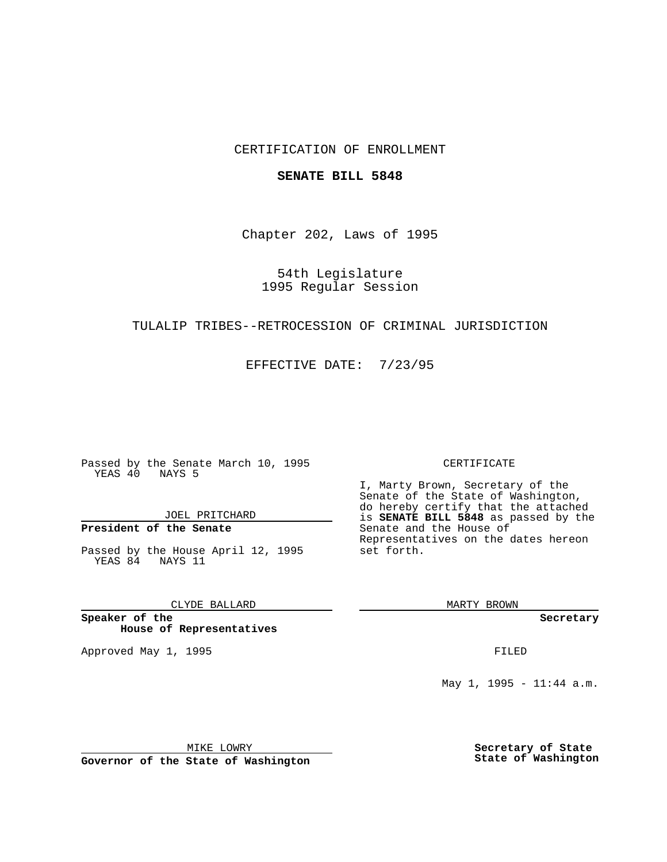## CERTIFICATION OF ENROLLMENT

### **SENATE BILL 5848**

Chapter 202, Laws of 1995

## 54th Legislature 1995 Regular Session

## TULALIP TRIBES--RETROCESSION OF CRIMINAL JURISDICTION

EFFECTIVE DATE: 7/23/95

Passed by the Senate March 10, 1995 YEAS 40 NAYS 5

JOEL PRITCHARD

# **President of the Senate**

Passed by the House April 12, 1995 YEAS 84 NAYS 11

CLYDE BALLARD

**Speaker of the House of Representatives**

Approved May 1, 1995 **FILED** 

#### CERTIFICATE

I, Marty Brown, Secretary of the Senate of the State of Washington, do hereby certify that the attached is **SENATE BILL 5848** as passed by the Senate and the House of Representatives on the dates hereon set forth.

MARTY BROWN

**Secretary**

May 1, 1995 - 11:44 a.m.

MIKE LOWRY

**Governor of the State of Washington**

**Secretary of State State of Washington**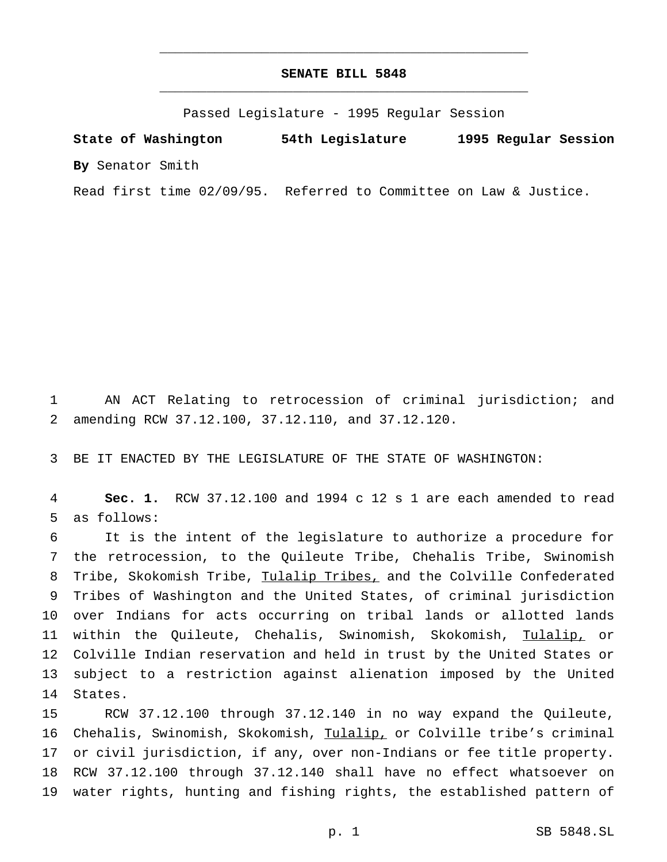## **SENATE BILL 5848** \_\_\_\_\_\_\_\_\_\_\_\_\_\_\_\_\_\_\_\_\_\_\_\_\_\_\_\_\_\_\_\_\_\_\_\_\_\_\_\_\_\_\_\_\_\_\_

\_\_\_\_\_\_\_\_\_\_\_\_\_\_\_\_\_\_\_\_\_\_\_\_\_\_\_\_\_\_\_\_\_\_\_\_\_\_\_\_\_\_\_\_\_\_\_

Passed Legislature - 1995 Regular Session

**State of Washington 54th Legislature 1995 Regular Session By** Senator Smith

Read first time 02/09/95. Referred to Committee on Law & Justice.

 AN ACT Relating to retrocession of criminal jurisdiction; and amending RCW 37.12.100, 37.12.110, and 37.12.120.

BE IT ENACTED BY THE LEGISLATURE OF THE STATE OF WASHINGTON:

 **Sec. 1.** RCW 37.12.100 and 1994 c 12 s 1 are each amended to read as follows:

 It is the intent of the legislature to authorize a procedure for the retrocession, to the Quileute Tribe, Chehalis Tribe, Swinomish Tribe, Skokomish Tribe, Tulalip Tribes, and the Colville Confederated Tribes of Washington and the United States, of criminal jurisdiction over Indians for acts occurring on tribal lands or allotted lands within the Quileute, Chehalis, Swinomish, Skokomish, Tulalip, or Colville Indian reservation and held in trust by the United States or subject to a restriction against alienation imposed by the United States.

 RCW 37.12.100 through 37.12.140 in no way expand the Quileute, Chehalis, Swinomish, Skokomish, Tulalip, or Colville tribe's criminal or civil jurisdiction, if any, over non-Indians or fee title property. RCW 37.12.100 through 37.12.140 shall have no effect whatsoever on water rights, hunting and fishing rights, the established pattern of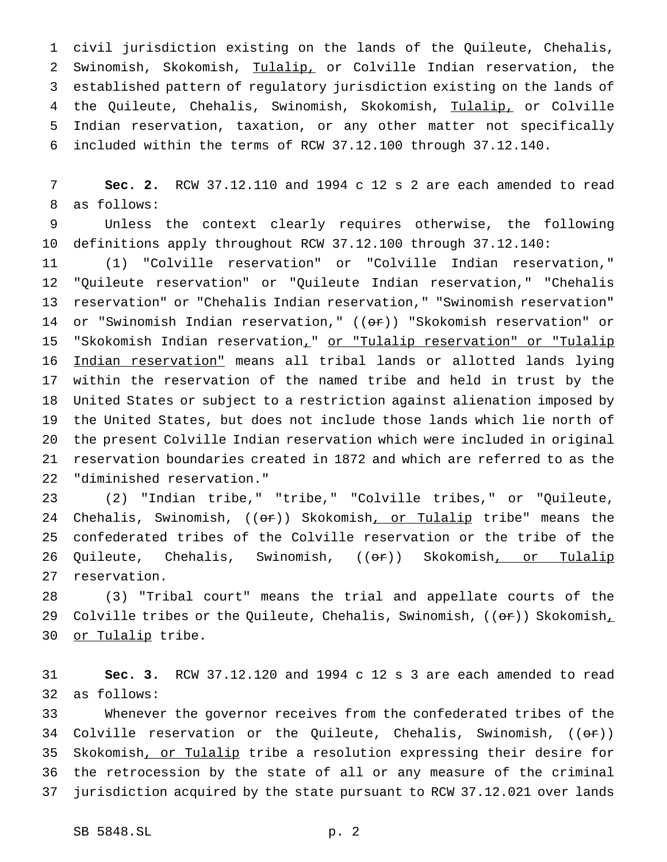civil jurisdiction existing on the lands of the Quileute, Chehalis, 2 Swinomish, Skokomish, Tulalip, or Colville Indian reservation, the established pattern of regulatory jurisdiction existing on the lands of 4 the Quileute, Chehalis, Swinomish, Skokomish, Tulalip, or Colville Indian reservation, taxation, or any other matter not specifically included within the terms of RCW 37.12.100 through 37.12.140.

 **Sec. 2.** RCW 37.12.110 and 1994 c 12 s 2 are each amended to read as follows:

 Unless the context clearly requires otherwise, the following definitions apply throughout RCW 37.12.100 through 37.12.140:

 (1) "Colville reservation" or "Colville Indian reservation," "Quileute reservation" or "Quileute Indian reservation," "Chehalis reservation" or "Chehalis Indian reservation," "Swinomish reservation" 14 or "Swinomish Indian reservation,"  $((\theta \hat{r}))$  "Skokomish reservation" or "Skokomish Indian reservation," or "Tulalip reservation" or "Tulalip Indian reservation" means all tribal lands or allotted lands lying within the reservation of the named tribe and held in trust by the United States or subject to a restriction against alienation imposed by the United States, but does not include those lands which lie north of the present Colville Indian reservation which were included in original reservation boundaries created in 1872 and which are referred to as the "diminished reservation."

 (2) "Indian tribe," "tribe," "Colville tribes," or "Quileute, 24 Chehalis, Swinomish, ((or)) Skokomish, or Tulalip tribe" means the confederated tribes of the Colville reservation or the tribe of the 26 Quileute, Chehalis, Swinomish, ((or)) Skokomish, or Tulalip reservation.

 (3) "Tribal court" means the trial and appellate courts of the 29 Colville tribes or the Quileute, Chehalis, Swinomish,  $((\theta \cdot \hat{r}))$  Skokomish, or Tulalip tribe.

 **Sec. 3.** RCW 37.12.120 and 1994 c 12 s 3 are each amended to read as follows:

 Whenever the governor receives from the confederated tribes of the 34 Colville reservation or the Quileute, Chehalis, Swinomish,  $((\theta \cdot \hat{r}))$  Skokomish, or Tulalip tribe a resolution expressing their desire for the retrocession by the state of all or any measure of the criminal jurisdiction acquired by the state pursuant to RCW 37.12.021 over lands